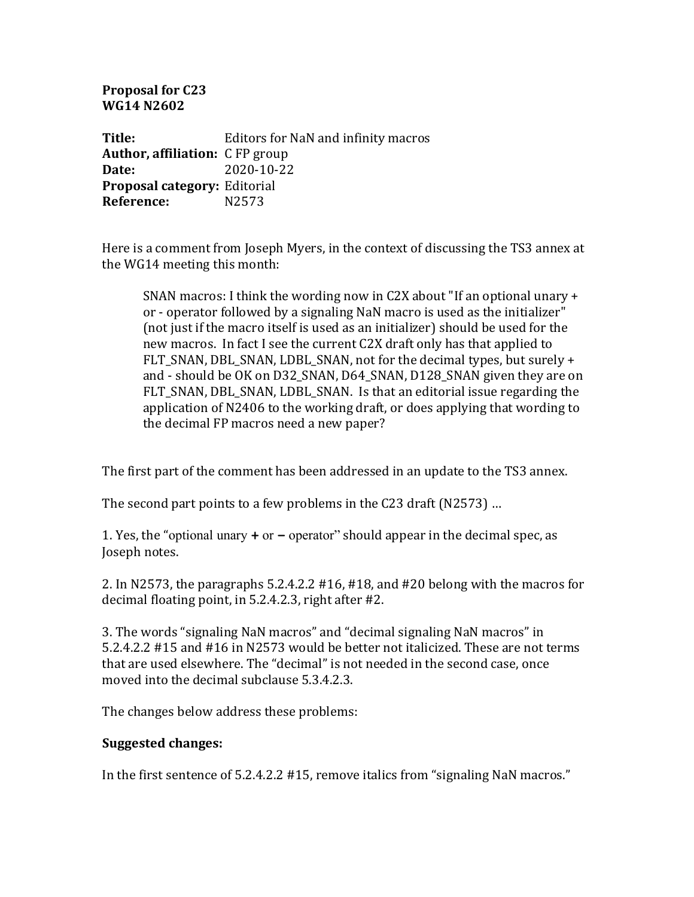**Proposal for C23 WG14 N2602**

**Title:** Editors for NaN and infinity macros **Author, affiliation:** C FP group **Date:** 2020-10-22 **Proposal category: Editorial Reference:** N2573

Here is a comment from Joseph Myers, in the context of discussing the TS3 annex at the WG14 meeting this month:

SNAN macros: I think the wording now in C2X about "If an optional unary  $+$ or - operator followed by a signaling NaN macro is used as the initializer" (not just if the macro itself is used as an initializer) should be used for the new macros. In fact I see the current C2X draft only has that applied to FLT SNAN, DBL SNAN, LDBL SNAN, not for the decimal types, but surely  $+$ and - should be OK on D32 SNAN, D64 SNAN, D128 SNAN given they are on FLT\_SNAN, DBL\_SNAN, LDBL\_SNAN. Is that an editorial issue regarding the application of N2406 to the working draft, or does applying that wording to the decimal FP macros need a new paper?

The first part of the comment has been addressed in an update to the TS3 annex.

The second part points to a few problems in the C23 draft (N2573) ...

1. Yes, the "optional unary  $+$  or  $-$  operator" should appear in the decimal spec, as Joseph notes.

2. In N2573, the paragraphs 5.2.4.2.2  $#16$ ,  $#18$ , and  $#20$  belong with the macros for decimal floating point, in  $5.2.4.2.3$ , right after  $#2$ .

3. The words "signaling NaN macros" and "decimal signaling NaN macros" in 5.2.4.2.2 #15 and #16 in N2573 would be better not italicized. These are not terms that are used elsewhere. The "decimal" is not needed in the second case, once moved into the decimal subclause 5.3.4.2.3.

The changes below address these problems:

## **Suggested changes:**

In the first sentence of 5.2.4.2.2 #15, remove italics from "signaling NaN macros."